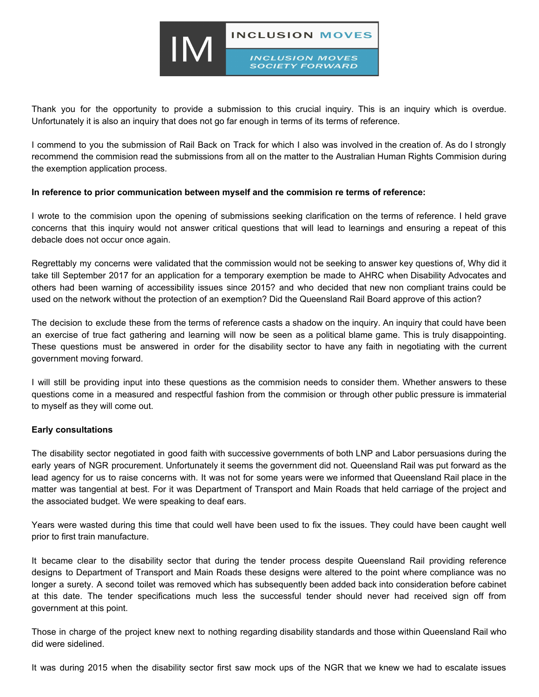

Thank you for the opportunity to provide a submission to this crucial inquiry. This is an inquiry which is overdue. Unfortunately it is also an inquiry that does not go far enough in terms of its terms of reference.

I commend to you the submission of Rail Back on Track for which I also was involved in the creation of. As do I strongly recommend the commision read the submissions from all on the matter to the Australian Human Rights Commision during the exemption application process.

## **In reference to prior communication between myself and the commision re terms of reference:**

I wrote to the commision upon the opening of submissions seeking clarification on the terms of reference. I held grave concerns that this inquiry would not answer critical questions that will lead to learnings and ensuring a repeat of this debacle does not occur once again.

Regrettably my concerns were validated that the commission would not be seeking to answer key questions of, Why did it take till September 2017 for an application for a temporary exemption be made to AHRC when Disability Advocates and others had been warning of accessibility issues since 2015? and who decided that new non compliant trains could be used on the network without the protection of an exemption? Did the Queensland Rail Board approve of this action?

The decision to exclude these from the terms of reference casts a shadow on the inquiry. An inquiry that could have been an exercise of true fact gathering and learning will now be seen as a political blame game. This is truly disappointing. These questions must be answered in order for the disability sector to have any faith in negotiating with the current government moving forward.

I will still be providing input into these questions as the commision needs to consider them. Whether answers to these questions come in a measured and respectful fashion from the commision or through other public pressure is immaterial to myself as they will come out.

## **Early consultations**

The disability sector negotiated in good faith with successive governments of both LNP and Labor persuasions during the early years of NGR procurement. Unfortunately it seems the government did not. Queensland Rail was put forward as the lead agency for us to raise concerns with. It was not for some years were we informed that Queensland Rail place in the matter was tangential at best. For it was Department of Transport and Main Roads that held carriage of the project and the associated budget. We were speaking to deaf ears.

Years were wasted during this time that could well have been used to fix the issues. They could have been caught well prior to first train manufacture.

It became clear to the disability sector that during the tender process despite Queensland Rail providing reference designs to Department of Transport and Main Roads these designs were altered to the point where compliance was no longer a surety. A second toilet was removed which has subsequently been added back into consideration before cabinet at this date. The tender specifications much less the successful tender should never had received sign off from government at this point.

Those in charge of the project knew next to nothing regarding disability standards and those within Queensland Rail who did were sidelined.

It was during 2015 when the disability sector first saw mock ups of the NGR that we knew we had to escalate issues